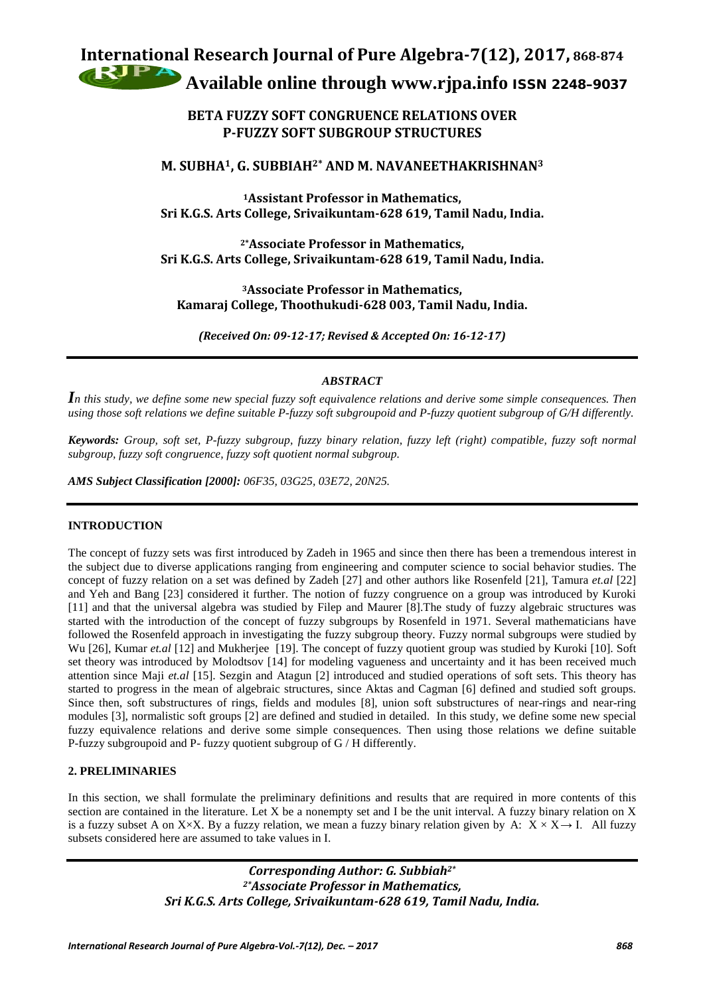# **International Research Journal of Pure Algebra-7(12), 2017, 868-874 Available online through [www.rjpa.info](http://www.rjpa.info/)** ISSN 2248–9037

# **BETA FUZZY SOFT CONGRUENCE RELATIONS OVER P-FUZZY SOFT SUBGROUP STRUCTURES**

# **M. SUBHA1, G. SUBBIAH2\* AND M. NAVANEETHAKRISHNAN3**

**1Assistant Professor in Mathematics, Sri K.G.S. Arts College, Srivaikuntam-628 619, Tamil Nadu, India.**

**2\*Associate Professor in Mathematics, Sri K.G.S. Arts College, Srivaikuntam-628 619, Tamil Nadu, India.**

**3Associate Professor in Mathematics, Kamaraj College, Thoothukudi-628 003, Tamil Nadu, India.**

*(Received On: 09-12-17; Revised & Accepted On: 16-12-17)*

## *ABSTRACT*

*In this study, we define some new special fuzzy soft equivalence relations and derive some simple consequences. Then using those soft relations we define suitable P-fuzzy soft subgroupoid and P-fuzzy quotient subgroup of G/H differently.* 

*Keywords: Group, soft set, P-fuzzy subgroup, fuzzy binary relation, fuzzy left (right) compatible, fuzzy soft normal subgroup, fuzzy soft congruence, fuzzy soft quotient normal subgroup.*

*AMS Subject Classification [2000]: 06F35, 03G25, 03E72, 20N25.*

## **INTRODUCTION**

The concept of fuzzy sets was first introduced by Zadeh in 1965 and since then there has been a tremendous interest in the subject due to diverse applications ranging from engineering and computer science to social behavior studies. The concept of fuzzy relation on a set was defined by Zadeh [27] and other authors like Rosenfeld [21], Tamura *et.al* [22] and Yeh and Bang [23] considered it further. The notion of fuzzy congruence on a group was introduced by Kuroki [11] and that the universal algebra was studied by Filep and Maurer [8].The study of fuzzy algebraic structures was started with the introduction of the concept of fuzzy subgroups by Rosenfeld in 1971. Several mathematicians have followed the Rosenfeld approach in investigating the fuzzy subgroup theory. Fuzzy normal subgroups were studied by Wu [26], Kumar *et.al* [12] and Mukherjee [19]. The concept of fuzzy quotient group was studied by Kuroki [10]. Soft set theory was introduced by Molodtsov [14] for modeling vagueness and uncertainty and it has been received much attention since Maji *et.al* [15]. Sezgin and Atagun [2] introduced and studied operations of soft sets. This theory has started to progress in the mean of algebraic structures, since Aktas and Cagman [6] defined and studied soft groups. Since then, soft substructures of rings, fields and modules [8], union soft substructures of near-rings and near-ring modules [3], normalistic soft groups [2] are defined and studied in detailed. In this study, we define some new special fuzzy equivalence relations and derive some simple consequences. Then using those relations we define suitable P-fuzzy subgroupoid and P- fuzzy quotient subgroup of G / H differently.

## **2. PRELIMINARIES**

In this section, we shall formulate the preliminary definitions and results that are required in more contents of this section are contained in the literature. Let  $X$  be a nonempty set and I be the unit interval. A fuzzy binary relation on  $X$ is a fuzzy subset A on X×X. By a fuzzy relation, we mean a fuzzy binary relation given by A:  $X \times X \rightarrow I$ . All fuzzy subsets considered here are assumed to take values in I.

> *Corresponding Author: G. Subbiah2\* 2\*Associate Professor in Mathematics, Sri K.G.S. Arts College, Srivaikuntam-628 619, Tamil Nadu, India.*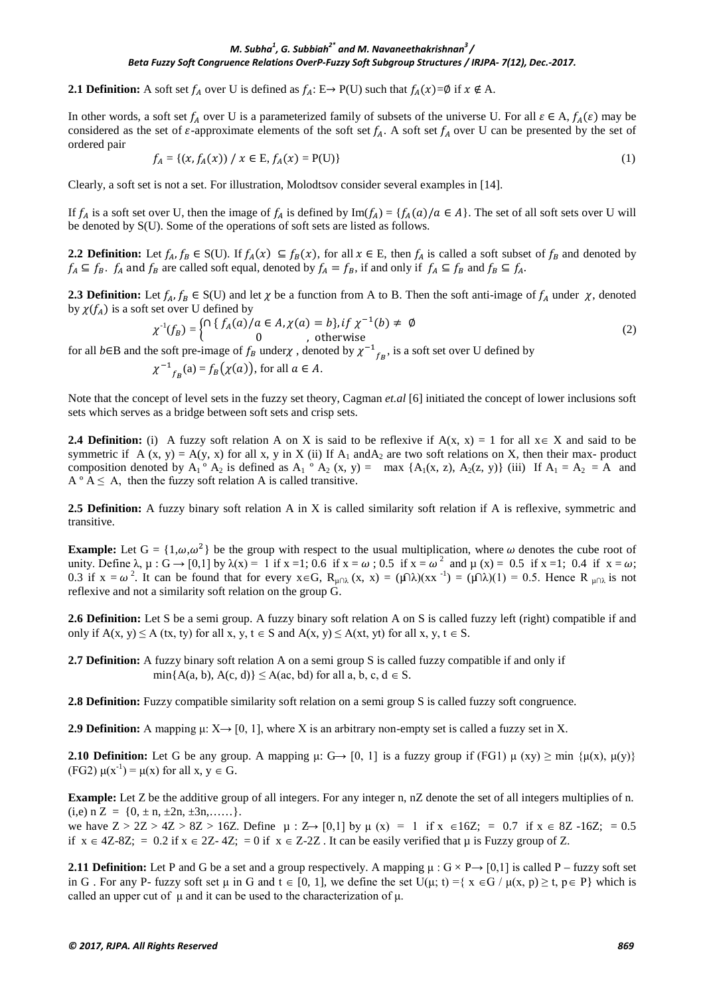#### *M. Subha<sup>1</sup> , G. Subbiah2\* and M. Navaneethakrishnan<sup>3</sup> / Beta Fuzzy Soft Congruence Relations OverP-Fuzzy Soft Subgroup Structures / IRJPA- 7(12), Dec.-2017.*

**2.1 Definition:** A soft set  $f_A$  over U is defined as  $f_A : E \to P(U)$  such that  $f_A(x) = \emptyset$  if  $x \notin A$ .

In other words, a soft set  $f_A$  over U is a parameterized family of subsets of the universe U. For all  $\varepsilon \in A$ ,  $f_A(\varepsilon)$  may be considered as the set of  $\varepsilon$ -approximate elements of the soft set  $f_A$ . A soft set  $f_A$  over U can be presented by the set of ordered pair

$$
f_A = \{ (x, f_A(x)) \mid x \in E, f_A(x) = P(U) \}
$$
 (1)

Clearly, a soft set is not a set. For illustration, Molodtsov consider several examples in [14].

If  $f_A$  is a soft set over U, then the image of  $f_A$  is defined by Im( $f_A$ ) = { $f_A(a)/a \in A$ }. The set of all soft sets over U will be denoted by S(U). Some of the operations of soft sets are listed as follows.

**2.2 Definition:** Let  $f_A, f_B \in S(U)$ . If  $f_A(x) \subseteq f_B(x)$ , for all  $x \in E$ , then  $f_A$  is called a soft subset of  $f_B$  and denoted by  $f_A \subseteq f_B$ .  $f_A$  and  $f_B$  are called soft equal, denoted by  $f_A = f_B$ , if and only if  $f_A \subseteq f_B$  and  $f_B \subseteq f_A$ .

**2.3 Definition:** Let  $f_A$ ,  $f_B \in S(U)$  and let  $\chi$  be a function from A to B. Then the soft anti-image of  $f_A$  under  $\chi$ , denoted by  $\chi(f_A)$  is a soft set over U defined by

$$
\chi^{-1}(f_B) = \begin{cases} \cap \{f_A(a)/a \in A, \chi(a) = b\}, & \text{if } \chi^{-1}(b) \neq \emptyset \\ 0, & \text{otherwise} \end{cases}
$$
 (2)

for all *b*∈B and the soft pre-image of  $f_B$  under  $\chi$ , denoted by  $\chi^{-1}$ <sub>fB</sub>, is a soft set over U defined by

 $\chi^{-1}_{f_B}(a) = f_B(\chi(a))$ , for all  $a \in A$ .

Note that the concept of level sets in the fuzzy set theory, Cagman *et.al* [6] initiated the concept of lower inclusions soft sets which serves as a bridge between soft sets and crisp sets.

**2.4 Definition:** (i) A fuzzy soft relation A on X is said to be reflexive if  $A(x, x) = 1$  for all  $x \in X$  and said to be symmetric if A (x, y) = A(y, x) for all x, y in X (ii) If  $A_1$  and  $A_2$  are two soft relations on X, then their max- product composition denoted by  $A_1 \circ A_2$  is defined as  $A_1 \circ A_2$  (x, y) = max { $A_1(x, z)$ ,  $A_2(z, y)$ } (iii) If  $A_1 = A_2 = A$  and  $A^{\circ} A \leq A$ , then the fuzzy soft relation A is called transitive.

**2.5 Definition:** A fuzzy binary soft relation A in X is called similarity soft relation if A is reflexive, symmetric and transitive.

**Example:** Let  $G = \{1, \omega, \omega^2\}$  be the group with respect to the usual multiplication, where  $\omega$  denotes the cube root of unity. Define  $\lambda$ ,  $\mu$  : G  $\rightarrow$  [0,1] by  $\lambda(x) = 1$  if x =1; 0.6 if x =  $\omega$ ; 0.5 if x =  $\omega^2$  and  $\mu$  (x) = 0.5 if x =1; 0.4 if x =  $\omega$ ; 0.3 if  $x = \omega^2$ . It can be found that for every  $x \in G$ ,  $R_{\mu \cap \lambda}(x, x) = (\mu \cap \lambda)(xx^{-1}) = (\mu \cap \lambda)(1) = 0.5$ . Hence  $R_{\mu \cap \lambda}$  is not reflexive and not a similarity soft relation on the group G.

**2.6 Definition:** Let S be a semi group. A fuzzy binary soft relation A on S is called fuzzy left (right) compatible if and only if  $A(x, y)$  ≤ A (tx, ty) for all x, y, t ∈ S and  $A(x, y)$  ≤  $A(x, y)$  for all x, y, t ∈ S.

**2.7 Definition:** A fuzzy binary soft relation A on a semi group S is called fuzzy compatible if and only if  $min{A(a, b), A(c, d)} \leq A(ac, bd)$  for all a, b, c,  $d \in S$ .

**2.8 Definition:** Fuzzy compatible similarity soft relation on a semi group S is called fuzzy soft congruence.

**2.9 Definition:** A mapping  $\mu$ :  $X \rightarrow [0, 1]$ , where X is an arbitrary non-empty set is called a fuzzy set in X.

**2.10 <b>Definition:** Let G be any group. A mapping  $\mu$ : G $\rightarrow$  [0, 1] is a fuzzy group if (FG1)  $\mu$  (xy)  $\geq$  min { $\mu$ (x),  $\mu$ (y)} (FG2)  $\mu(x^{-1}) = \mu(x)$  for all  $x, y \in G$ .

**Example:** Let Z be the additive group of all integers. For any integer n, nZ denote the set of all integers multiplies of n.  $(i,e)$  n Z = {0,  $\pm$  n,  $\pm$ 2n,  $\pm$ 3n,.....}.

we have  $Z > 2Z > 4Z > 8Z > 16Z$ . Define  $\mu : Z \rightarrow [0,1]$  by  $\mu(x) = 1$  if  $x \in 16Z$ ; = 0.7 if  $x \in 8Z$  -16Z; = 0.5 if  $x \in 4Z-8Z$ ; = 0.2 if  $x \in 2Z-4Z$ ; = 0 if  $x \in Z-2Z$ . It can be easily verified that  $\mu$  is Fuzzy group of Z.

**2.11 Definition:** Let P and G be a set and a group respectively. A mapping  $\mu$  :  $G \times P \rightarrow [0,1]$  is called P – fuzzy soft set in G . For any P- fuzzy soft set  $\mu$  in G and  $t \in [0, 1]$ , we define the set  $U(\mu; t) = \{x \in G / \mu(x, p) \ge t, p \in P\}$  which is called an upper cut of  $\mu$  and it can be used to the characterization of  $\mu$ .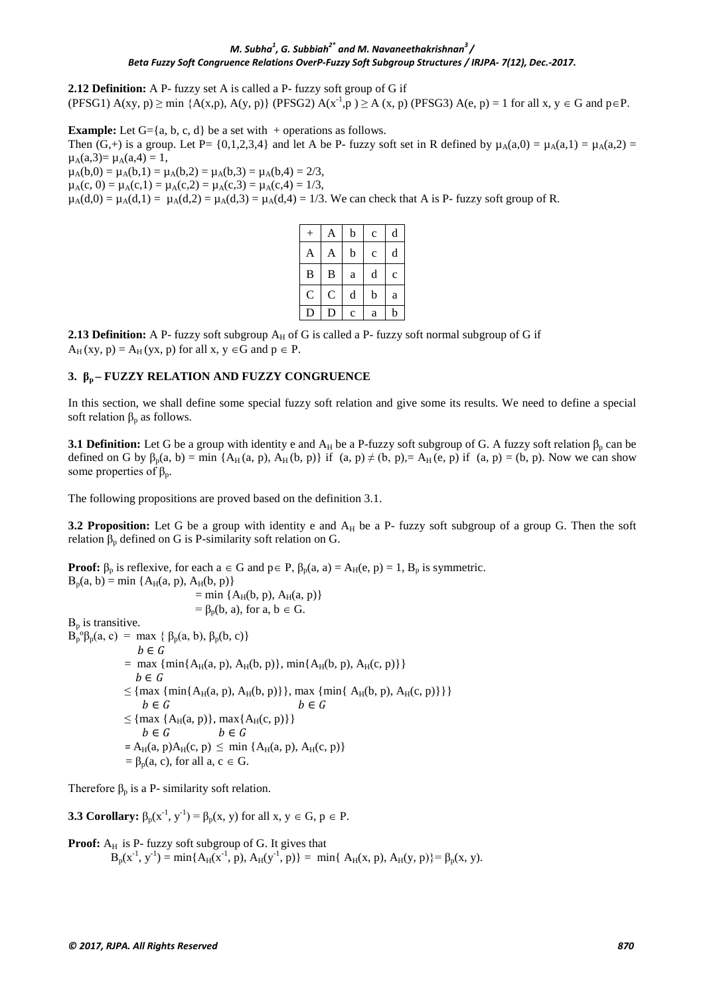#### *M. Subha<sup>1</sup> , G. Subbiah2\* and M. Navaneethakrishnan<sup>3</sup> / Beta Fuzzy Soft Congruence Relations OverP-Fuzzy Soft Subgroup Structures / IRJPA- 7(12), Dec.-2017.*

**2.12 Definition:** A P- fuzzy set A is called a P- fuzzy soft group of G if  $(PFSG1) A(xy, p) \ge \min \{A(x, p), A(y, p)\}$   $(PFSG2) A(x^{-1}, p) \ge A(x, p)$   $(PFSG3) A(e, p) = 1$  for all x,  $y \in G$  and  $p \in P$ .

**Example:** Let  $G = \{a, b, c, d\}$  be a set with  $+$  operations as follows. Then  $(G,+)$  is a group. Let P= {0,1,2,3,4} and let A be P- fuzzy soft set in R defined by  $\mu_A(a,0) = \mu_A(a,1) = \mu_A(a,2)$  =  $\mu_A(a,3) = \mu_A(a,4) = 1$ ,  $\mu_A(b,0) = \mu_A(b,1) = \mu_A(b,2) = \mu_A(b,3) = \mu_A(b,4) = 2/3,$ 

 $\mu_A(c, 0) = \mu_A(c, 1) = \mu_A(c, 2) = \mu_A(c, 3) = \mu_A(c, 4) = 1/3$ 

 $\mu_A(d,0) = \mu_A(d,1) = \mu_A(d,2) = \mu_A(d,3) = \mu_A(d,4) = 1/3$ . We can check that A is P- fuzzy soft group of R.

| $^{+}$         | A           | b           | $\mathbf c$ | d            |
|----------------|-------------|-------------|-------------|--------------|
| A              | A           | b           | $\mathbf c$ | d            |
| $\bf{B}$       | B           | a           | d           | $\mathbf{C}$ |
| $\overline{C}$ | $\mathsf C$ | d           | b           | a            |
| $\mathbf D$    | D           | $\mathbf c$ | a           | b            |

**2.13 Definition:** A P- fuzzy soft subgroup  $A_H$  of G is called a P- fuzzy soft normal subgroup of G if  $A_H$ (xy, p) =  $A_H$ (yx, p) for all x, y  $\in$ G and p  $\in$  P.

#### **3. β<sup>p</sup> – FUZZY RELATION AND FUZZY CONGRUENCE**

In this section, we shall define some special fuzzy soft relation and give some its results. We need to define a special soft relation  $\beta_p$  as follows.

**3.1 Definition:** Let G be a group with identity e and  $A_H$  be a P-fuzzy soft subgroup of G. A fuzzy soft relation  $\beta_p$  can be defined on G by  $\beta_p(a, b) = \min \{A_H(a, p), A_H(b, p)\}$  if  $(a, p) \neq (b, p) = A_H(e, p)$  if  $(a, p) = (b, p)$ . Now we can show some properties of  $β_p$ .

The following propositions are proved based on the definition 3.1.

**3.2 Proposition:** Let G be a group with identity e and  $A_H$  be a P- fuzzy soft subgroup of a group G. Then the soft relation  $β<sub>p</sub>$  defined on G is P-similarity soft relation on G.

**Proof:**  $\beta_p$  is reflexive, for each  $a \in G$  and  $p \in P$ ,  $\beta_p(a, a) = A_H(e, p) = 1$ ,  $B_p$  is symmetric.  $B_p(a, b) = min \{A_H(a, p), A_H(b, p)\}$  $=$  min {A<sub>H</sub>(b, p), A<sub>H</sub>(a, p)}  $= \beta_p(b, a)$ , for a,  $b \in G$ .  $B_p$  is transitive.  $B_p^o$ β<sub>p</sub>(a, c) = max { β<sub>p</sub>(a, b), β<sub>p</sub>(b, c)}<br>  $b \in G$ = max { $\min\{A_H(a, p), A_H(b, p)\}$ ,  $\min\{A_H(b, p), A_H(c, p)\}$ }<br>  $b \in G$ ≤ {max {min{ A<sub>H</sub>(a, p), A<sub>H</sub>(b, p)} }, max {min{ A<sub>H</sub>(b, p), A<sub>H</sub>(c, p)} } }<br>  $b \in G$  $\leq \{ \max \{ A_H(a, p) \}, \max \{ A_H(c, p) \} \}$  $b \in G$   $b \in G$  $= A_H(a, p)A_H(c, p) \le \min \{A_H(a, p), A_H(c, p)\}$  $= \beta_p(a, c)$ , for all  $a, c \in G$ .

Therefore  $\beta_p$  is a P- similarity soft relation.

**3.3 Corollary:**  $\beta_{p}(x^{-1}, y^{-1}) = \beta_{p}(x, y)$  for all  $x, y \in G, p \in P$ .

**Proof:** 
$$
A_H
$$
 is P- fuzzy soft subgroup of G. It gives that  $B_p(x^{-1}, y^{-1}) = \min\{A_H(x^{-1}, p), A_H(y^{-1}, p)\} = \min\{A_H(x, p), A_H(y, p)\} = \beta_p(x, y).$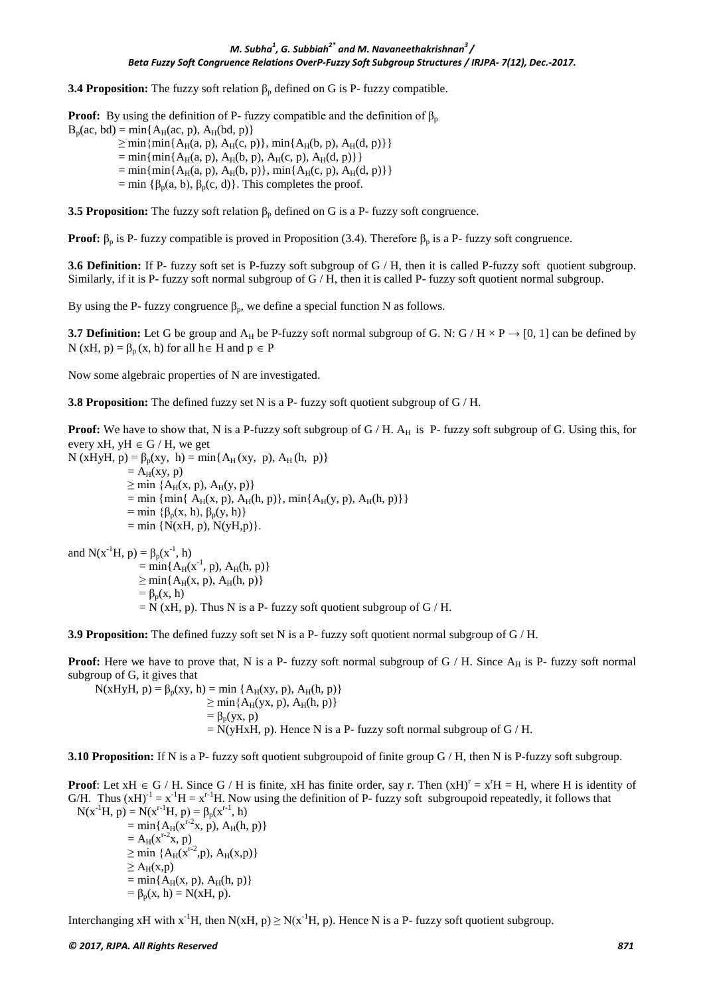**3.4 Proposition:** The fuzzy soft relation  $\beta_p$  defined on G is P- fuzzy compatible.

**Proof:** By using the definition of P- fuzzy compatible and the definition of  $\beta_p$  $B_p(ac, bd) = min{A_H(ac, p), A_H(bd, p)}$  $\geq$  min{min{A<sub>H</sub>(a, p), A<sub>H</sub>(c, p)}, min{A<sub>H</sub>(b, p), A<sub>H</sub>(d, p)}}

- $=$  min{min{A<sub>H</sub>(a, p), A<sub>H</sub>(b, p), A<sub>H</sub>(c, p), A<sub>H</sub>(d, p)}}
- $=$  min{min{A<sub>H</sub>(a, p), A<sub>H</sub>(b, p)}, min{A<sub>H</sub>(c, p), A<sub>H</sub>(d, p)}}
- = min { $\beta_p(a, b)$ ,  $\beta_p(c, d)$ }. This completes the proof.

**3.5 Proposition:** The fuzzy soft relation  $\beta_p$  defined on G is a P- fuzzy soft congruence.

**Proof:**  $β_p$  is P- fuzzy compatible is proved in Proposition (3.4). Therefore  $β_p$  is a P- fuzzy soft congruence.

**3.6 Definition:** If P- fuzzy soft set is P-fuzzy soft subgroup of G / H, then it is called P-fuzzy soft quotient subgroup. Similarly, if it is P- fuzzy soft normal subgroup of  $G/H$ , then it is called P- fuzzy soft quotient normal subgroup.

By using the P- fuzzy congruence  $\beta_p$ , we define a special function N as follows.

**3.7 Definition:** Let G be group and  $A_H$  be P-fuzzy soft normal subgroup of G. N: G / H  $\times$  P  $\rightarrow$  [0, 1] can be defined by N (xH, p) =  $\beta_n$ (x, h) for all h i H and  $p \in P$ 

Now some algebraic properties of N are investigated.

**3.8 Proposition:** The defined fuzzy set N is a P- fuzzy soft quotient subgroup of G / H.

**Proof:** We have to show that, N is a P-fuzzy soft subgroup of G / H. A<sub>H</sub> is P- fuzzy soft subgroup of G. Using this, for every xH, yH  $\in$  G / H, we get

N (xHyH, p) =  $\beta_p(xy, h) = min\{A_H(xy, p), A_H(h, p)\}$  $= A_H(xy, p)$  $\geq$  min  $\{A_H(x, p), A_H(y, p)\}$  $=$  min { min{ A<sub>H</sub>(x, p), A<sub>H</sub>(h, p)}, min{ A<sub>H</sub>(y, p), A<sub>H</sub>(h, p)}} = min { $\beta_p(x, h)$ ,  $\beta_p(y, h)$ }  $=$  min {N(xH, p), N(yH, p)}.

and  $N(x^{-1}H, p) = \beta_p(x^{-1}, h)$  $=$  min{A<sub>H</sub>(x<sup>-1</sup>, p), A<sub>H</sub>(h, p)}  $\geq$  min{A<sub>H</sub>(x, p), A<sub>H</sub>(h, p)}  $= \beta_p(x, h)$  $= N$  (xH, p). Thus N is a P- fuzzy soft quotient subgroup of G / H.

**3.9 Proposition:** The defined fuzzy soft set N is a P- fuzzy soft quotient normal subgroup of G / H.

**Proof:** Here we have to prove that, N is a P- fuzzy soft normal subgroup of  $G / H$ . Since  $A_H$  is P- fuzzy soft normal subgroup of G, it gives that

 $N(xHyH, p) = \beta_{p}(xy, h) = min \{A_H(xy, p), A_H(h, p)\}$  $\geq$  min ${A_H(yx, p), A_H(h, p)}$  $= \beta_p(yx, p)$  $= N(yHxH, p)$ . Hence N is a P- fuzzy soft normal subgroup of G / H.

**3.10 Proposition:** If N is a P- fuzzy soft quotient subgroupoid of finite group G / H, then N is P-fuzzy soft subgroup.

**Proof**: Let  $xH \in G/H$ . Since  $G/H$  is finite,  $xH$  has finite order, say r. Then  $(xH)^r = x^rH = H$ , where H is identity of G/H. Thus  $(xH)^{-1} = x^{-1}H = x^{r-1}H$ . Now using the definition of P- fuzzy soft subgroupoid repeatedly, it follows that  $N(x^{-1}H, p) = N(x^{r-1}H, p) = \beta_p(x^{r-1}, h)$  $=$  min{A<sub>H</sub>( $\bar{x}$ <sup>r-2</sup>x, p), A<sub>H</sub>(h, p)}  $= A_H(x^{r-2}x, p)$  $\geq$  min {A<sub>H</sub>( $x^{r-2}$ ,p), A<sub>H</sub>( $x$ ,p)}  $\geq$  A<sub>H</sub>(x,p)  $= min{A_H(x, p), A_H(h, p)}$ =  $\beta_p(x, h) = N(xH, p)$ .

Interchanging xH with  $x^{-1}H$ , then  $N(xH, p) \ge N(x^{-1}H, p)$ . Hence N is a P- fuzzy soft quotient subgroup.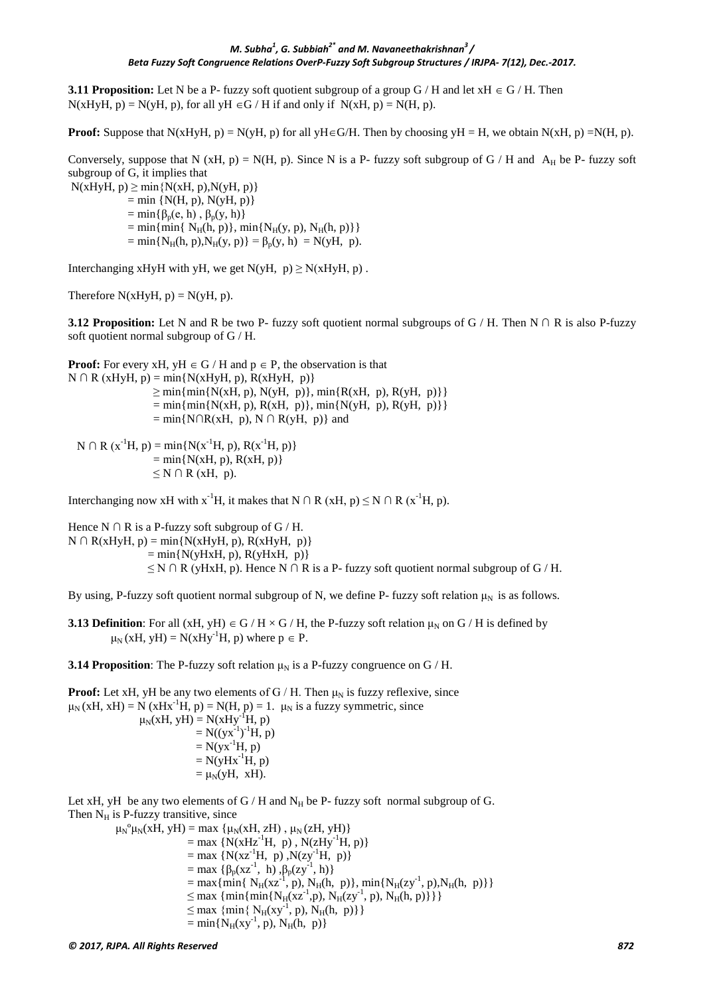**3.11 Proposition:** Let N be a P- fuzzy soft quotient subgroup of a group  $G/H$  and let  $xH \in G/H$ . Then  $N(xHyH, p) = N(yH, p)$ , for all yH  $\in$  G / H if and only if  $N(xH, p) = N(H, p)$ .

**Proof:** Suppose that N(xHyH, p) = N(yH, p) for all yH∈G/H. Then by choosing yH = H, we obtain N(xH, p) = N(H, p).

Conversely, suppose that N (xH, p) = N(H, p). Since N is a P- fuzzy soft subgroup of G / H and  $A_H$  be P- fuzzy soft subgroup of G, it implies that

 $N(xHyH, p) \ge \min\{N(xH, p), N(yH, p)\}\$  $=$  min {N(H, p), N(yH, p)}  $=$  min{ $\beta_p(e, h)$ ,  $\beta_p(y, h)$ }  $=$  min{ min{ N<sub>H</sub>(h, p)}, min{N<sub>H</sub>(y, p), N<sub>H</sub>(h, p)}}  $=$  min{N<sub>H</sub>(h, p),N<sub>H</sub>(y, p)} =  $\beta_p(y, h) = N(yH, p)$ .

Interchanging xHyH with yH, we get  $N(yH, p) \ge N(xHyH, p)$ .

Therefore  $N(xHyH, p) = N(yH, p)$ .

**3.12 Proposition:** Let N and R be two P- fuzzy soft quotient normal subgroups of G / H. Then N  $\cap$  R is also P-fuzzy soft quotient normal subgroup of G / H.

**Proof:** For every xH, yH  $\in$  G / H and  $p \in$  P, the observation is that  $N \cap R$  (xHyH, p) = min{N(xHyH, p), R(xHyH, p)}  $\geq$  min{min{N(xH, p), N(yH, p)}, min{R(xH, p), R(yH, p)}}  $= \min{\{min\{N(xH, p), R(xH, p)\}, \min\{N(yH, p), R(yH, p)\}\}}$  $=$  min{N∩R(xH, p), N ∩ R(yH, p)} and  $N \cap R(x^{-1}H, p) = min\{N(x^{-1}H, p), R(x^{-1}H, p)\}$  $=$  min $\{N(xH, p), R(xH, p)\}$  $\leq N \cap R$  (xH, p).

Interchanging now xH with x<sup>-1</sup>H, it makes that N ∩ R (xH, p)  $\leq N \cap R$  (x<sup>-1</sup>H, p).

Hence N  $\cap$  R is a P-fuzzy soft subgroup of G / H.  $N \cap R(xHyH, p) = min\{N(xHyH, p), R(xHyH, p)\}$  $=$  min{N(yHxH, p), R(yHxH, p)}  $\leq N \cap R$  (yHxH, p). Hence N  $\cap R$  is a P- fuzzy soft quotient normal subgroup of G / H.

By using, P-fuzzy soft quotient normal subgroup of N, we define P- fuzzy soft relation  $\mu_N$  is as follows.

**3.13 Definition**: For all (xH, yH)  $\in$  G / H  $\times$  G / H, the P-fuzzy soft relation  $\mu_N$  on G / H is defined by  $\mu_N(xH, yH) = N(xHy^{-1}H, p)$  where  $p \in P$ .

**3.14 Proposition:** The P-fuzzy soft relation  $\mu_N$  is a P-fuzzy congruence on G / H.

**Proof:** Let xH, yH be any two elements of  $G/H$ . Then  $\mu_N$  is fuzzy reflexive, since  $\mu_N(xH, xH) = N(xHx^{-1}H, p) = N(H, p) = 1$ .  $\mu_N$  is a fuzzy symmetric, since  $\mu_N(xH, yH) = N(xHy<sup>-1</sup>H, p)$  $= N((yx^{-1})^{-1}H, p)$  $= N(yx^{-1}H, p)$  $= N(yHx^{-1}H, p)$  $= \mu_N(yH, xH).$ 

Let xH, yH be any two elements of  $G/H$  and  $N_H$  be P- fuzzy soft normal subgroup of G. Then  $N_H$  is P-fuzzy transitive, since

```
\mu_N^{\circ} \mu_N(xH, yH) = \max \{ \mu_N(xH, zH), \mu_N(zH, yH) \}= max {N(xHz<sup>-1</sup>H, p), N(zHy<sup>-1</sup>H, p)}
              = max {N(xz<sup>-1</sup>H, p), N(zy<sup>-1</sup>H, p)}
              = max {\beta_p(xz^{-1}, h), \beta_p(zy^{-1}, h)}
              = max{min{ N<sub>H</sub>(xz<sup>-1</sup>, p), N<sub>H</sub>(h, p)}, min{N<sub>H</sub>(zy<sup>-1</sup>, p), N<sub>H</sub>(h, p)}}
              \leq max {min{min{N<sub>H</sub>(xz<sup>-1</sup>,p), N<sub>H</sub>(zy<sup>-1</sup>, p), N<sub>H</sub>(h, p)}}}
              \leq max {min{ N<sub>H</sub>(xy<sup>-1</sup>, p), N<sub>H</sub>(h, p)}}
              = min\{N_H(xy^{-1}, p), N_H(h, p)\}
```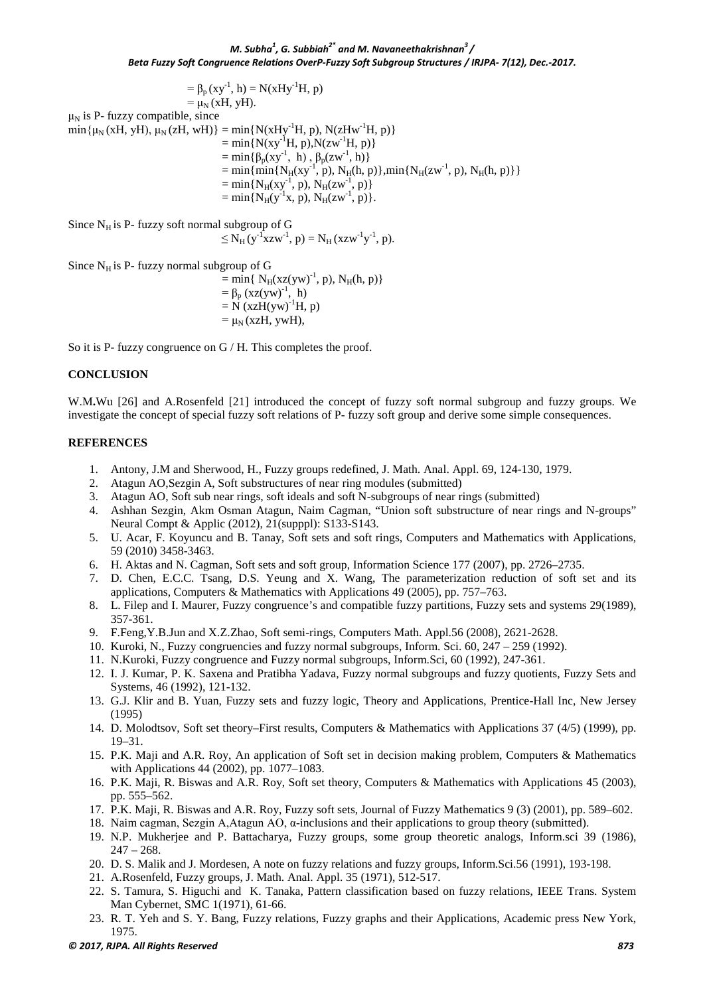$= \beta_{p} (xy^{-1}, h) = N(xHy^{-1}H, p)$  $= \mu_N(xH, yH)$ .  $\mu_N$  is P- fuzzy compatible, since  $min\{\mu_N(xH, yH), \mu_N(zH, wH)\} = min\{N(xHy^{-1}H, p), N(zHw^{-1}H, p)\}$  $=$  min{N(xy<sup>-1</sup>H, p),N(zw<sup>-1</sup>H, p)}  $= min{\beta_{p}(xy^{-1}, h)}, \beta_{p}(zw^{-1}, h)$  $= \min\{\min\{N_H(xy^{-1}, p), N_H(h, p)\}, \min\{N_H(zw^{-1}, p), N_H(h, p)\}\}\$  $= \min\{N_H(xy^{-1}, p), N_H(zw^{-1}, p)\}$  $= \min\{N_H(y^{-1}x, p), N_H(zw^{-1}, p)\}.$ 

Since  $N_H$  is P- fuzzy soft normal subgroup of G

 $\leq N_H (y^{-1} xzw^{-1}, p) = N_H (xzw^{-1}y^{-1}, p).$ 

Since  $N_H$  is P- fuzzy normal subgroup of G

 $=$  min{ N<sub>H</sub>(xz(yw)<sup>-1</sup>, p), N<sub>H</sub>(h, p)}  $= \beta_p (xz(yw)^{-1}, h)$  $=\dot{N}(xzH(yw)^{-1}H, p)$  $= \mu_N$  (xzH, ywH),

So it is P- fuzzy congruence on G / H. This completes the proof.

#### **CONCLUSION**

W.M**.**Wu [26] and A.Rosenfeld [21] introduced the concept of fuzzy soft normal subgroup and fuzzy groups. We investigate the concept of special fuzzy soft relations of P- fuzzy soft group and derive some simple consequences.

#### **REFERENCES**

- 1. Antony, J.M and Sherwood, H., Fuzzy groups redefined, J. Math. Anal. Appl. 69, 124-130, 1979.
- 
- 2. Atagun AO, Sezgin A, Soft substructures of near ring modules (submitted)<br>3. Atagun AO, Soft sub near rings, soft ideals and soft N-subgroups of near r 3. Atagun AO, Soft sub near rings, soft ideals and soft N-subgroups of near rings (submitted)
- 4. Ashhan Sezgin, Akm Osman Atagun, Naim Cagman, "Union soft substructure of near rings and N-groups" Neural Compt & Applic (2012), 21(supppl): S133-S143.
- 5. U. Acar, F. Koyuncu and B. Tanay, Soft sets and soft rings, Computers and Mathematics with Applications, 59 (2010) 3458-3463.
- 6. H. Aktas and N. Cagman, Soft sets and soft group, Information Science 177 (2007), pp. 2726–2735.
- 7. D. Chen, E.C.C. Tsang, D.S. Yeung and X. Wang, The parameterization reduction of soft set and its applications, Computers & Mathematics with Applications 49 (2005), pp. 757–763.
- 8. L. Filep and I. Maurer, Fuzzy congruence's and compatible fuzzy partitions, Fuzzy sets and systems 29(1989), 357-361.
- 9. F.Feng,Y.B.Jun and X.Z.Zhao, Soft semi-rings, Computers Math. Appl.56 (2008), 2621-2628.
- 10. Kuroki, N., Fuzzy congruencies and fuzzy normal subgroups, Inform. Sci. 60, 247 259 (1992).
- 11. N.Kuroki, Fuzzy congruence and Fuzzy normal subgroups, Inform.Sci, 60 (1992), 247-361.
- 12. I. J. Kumar, P. K. Saxena and Pratibha Yadava, Fuzzy normal subgroups and fuzzy quotients, Fuzzy Sets and Systems, 46 (1992), 121-132.
- 13. G.J. Klir and B. Yuan, Fuzzy sets and fuzzy logic, Theory and Applications, Prentice-Hall Inc, New Jersey (1995)
- 14. D. Molodtsov, Soft set theory–First results, Computers & Mathematics with Applications 37 (4/5) (1999), pp. 19–31.
- 15. P.K. Maji and A.R. Roy, An application of Soft set in decision making problem, Computers & Mathematics with Applications 44 (2002), pp. 1077–1083.
- 16. P.K. Maji, R. Biswas and A.R. Roy, Soft set theory, Computers & Mathematics with Applications 45 (2003), pp. 555–562.
- 17. P.K. Maji, R. Biswas and A.R. Roy, Fuzzy soft sets, Journal of Fuzzy Mathematics 9 (3) (2001), pp. 589–602.
- 18. Naim cagman, Sezgin A,Atagun AO, α-inclusions and their applications to group theory (submitted).
- 19. N.P. Mukherjee and P. Battacharya, Fuzzy groups, some group theoretic analogs, Inform.sci 39 (1986),  $247 - 268.$
- 20. D. S. Malik and J. Mordesen, A note on fuzzy relations and fuzzy groups, Inform.Sci.56 (1991), 193-198.
- 21. A.Rosenfeld, Fuzzy groups, J. Math. Anal. Appl. 35 (1971), 512-517.
- 22. S. Tamura, S. Higuchi and K. Tanaka, Pattern classification based on fuzzy relations, IEEE Trans. System Man Cybernet, SMC 1(1971), 61-66.
- 23. R. T. Yeh and S. Y. Bang, Fuzzy relations, Fuzzy graphs and their Applications, Academic press New York, 1975.